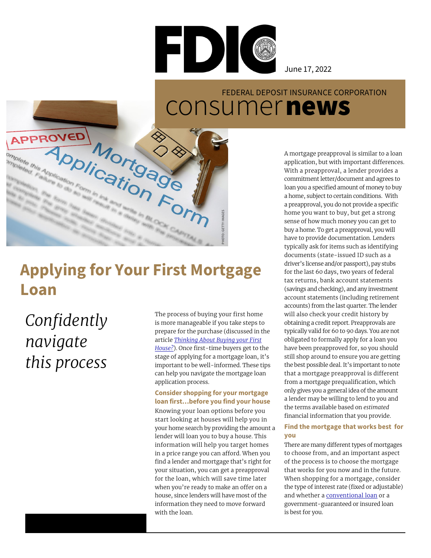

June 17, 2022

# FEDERAL DEPOSIT INSURANCE CORPORATION

## **Applying for Your First Mortgage Loan**

Mortgagner ADDIICation Form

*Confidently navigate this process*

The process of buying your first home is more manageable if you take steps to prepare for the purchase (discussed in the article *[Thinking About Buying your First](https://www.fdic.gov/resources/consumers/consumer-news/2022-06.html) [House?](https://www.fdic.gov/resources/consumers/consumer-news/2022-06.html)*). Once first-time buyers get to the stage of applying for a mortgage loan, it's important to be well-informed. These tips can help you navigate the mortgage loan application process.

**PHOTO: GETTY IMAGES**

#### **Consider shopping for your mortgage loan first…before you find your house**

Knowing your loan options before you start looking at houses will help you in your home search by providing the amount a lender will loan you to buy a house. This information will help you target homes in a price range you can afford. When you find a lender and mortgage that's right for your situation, you can get a preapproval for the loan, which will save time later when you're ready to make an offer on a house, since lenders will have most of the information they need to move forward with the loan.

EXECUTION APPROVED<br>
MOMOGOLO CONSUMER A A MOTHOLOGIS A A MOTHOLOGIS A A MOTHOLOGIS A A MOTHOLOGIS A A MOTHOLOGIS A DESPETHENCE (ACCURE A DESPETHENCE A DESPETHENCE A DESPETHENCE ON A DESPETHENCE ON A DESPETHENCE ON A DESPET A mortgage preapproval is similar to a loan application, but with important differences. With a preapproval, a lender provides a commitment letter/document and agrees to loan you a specified amount of money to buy a home, subject to certain conditions. With a preapproval, you do not provide a specific home you want to buy, but get a strong sense of how much money you can get to buy a home. To get a preapproval, you will have to provide documentation. Lenders typically ask for items such as identifying documents (state-issued ID such as a driver's license and/or passport), pay stubs for the last 60 days, two years of federal tax returns, bank account statements (savings and checking), and any investment account statements (including retirement accounts) from the last quarter. The lender will also check your credit history by obtaining a credit report. Preapprovals are typically valid for 60 to 90 days. You are not obligated to formally apply for a loan you have been preapproved for, so you should still shop around to ensure you are getting the best possible deal. It's important to note that a mortgage preapproval is different from a mortgage prequalification, which only gives you a general idea of the amount a lender may be willing to lend to you and the terms available based on *estimated* financial information that you provide.

#### **Find the mortgage that works best for you**

There are many different types of mortgages to choose from, and an important aspect of the process is to choose the mortgage that works for you now and in the future. When shopping for a mortgage, consider the type of interest rate (fixed or adjustable) and whether a [conventional loan](https://www.consumerfinance.gov/owning-a-home/loan-options/conventional-loans/) or a government-guaranteed or insured loan is best for you.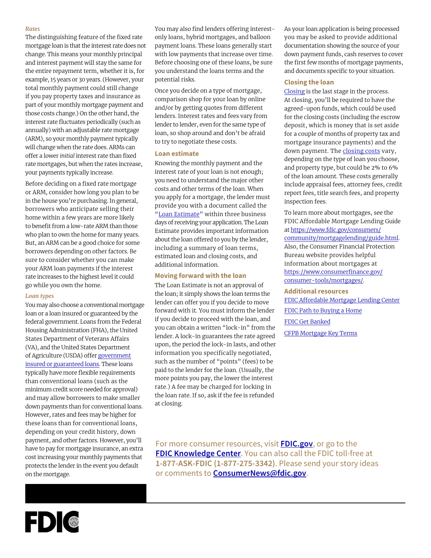#### *Rates*

The distinguishing feature of the fixed rate mortgage loan is that the interest rate does not change. This means your monthly principal and interest payment will stay the same for the entire repayment term, whether it is, for example, 15 years or 30 years. (However, your total monthly payment could still change if you pay property taxes and insurance as part of your monthly mortgage payment and those costs change.) On the other hand, the interest rate fluctuates periodically (such as annually) with an adjustable rate mortgage (ARM), so your monthly payment typically will change when the rate does. ARMs can offer a lower *initial* interest rate than fixed rate mortgages, but when the rates increase, your payments typically increase.

Before deciding on a fixed rate mortgage or ARM, consider how long you plan to be in the house you're purchasing. In general, borrowers who anticipate selling their home within a few years are more likely to benefit from a low-rate ARM than those who plan to own the home for many years. But, an ARM can be a good choice for some borrowers depending on other factors. Be sure to consider whether you can make your ARM loan payments if the interest rate increases to the highest level it could go while you own the home.

#### *Loan types*

You may also choose a conventional mortgage loan or a loan insured or guaranteed by the federal government. Loans from the Federal Housing Administration (FHA), the United States Department of Veterans Affairs (VA), and the United States Department of Agriculture (USDA) offer [government](https://www.fdic.gov/resources/bankers/affordable-mortgage-lending-center/products.html) [insured or guaranteed loans.](https://www.fdic.gov/resources/bankers/affordable-mortgage-lending-center/products.html) These loans typically have more flexible requirements than conventional loans (such as the minimum credit score needed for approval) and may allow borrowers to make smaller down payments than for conventional loans. However, rates and fees may be higher for these loans than for conventional loans, depending on your credit history, down payment, and other factors. However, you'll have to pay for mortgage insurance, an extra cost increasing your monthly payments that protects the lender in the event you default on the mortgage.

You may also find lenders offering interestonly loans, hybrid mortgages, and balloon payment loans. These loans generally start with low payments that increase over time. Before choosing one of these loans, be sure you understand the loans terms and the potential risks.

Once you decide on a type of mortgage, comparison shop for your loan by online and/or by getting quotes from different lenders. Interest rates and fees vary from lender to lender, even for the same type of loan, so shop around and don't be afraid to try to negotiate these costs.

#### **Loan estimate**

Knowing the monthly payment and the interest rate of your loan is not enough; you need to understand the major other costs and other terms of the loan. When you apply for a mortgage, the lender must provide you with a document called the ["Loan Estimate](https://www.consumerfinance.gov/owning-a-home/loan-estimate/?_gl=1*wcmild*_ga*NzE5NDA4OTk3LjE2MzM2MjA1ODM.*_ga_DBYJL30CHS*MTY1MTg0NTk3MC4yMC4xLjE2NTE4NDY2NjQuMA..)" within three business days of receiving your application. The Loan Estimate provides important information about the loan offered to you by the lender, including a summary of loan terms, estimated loan and closing costs, and additional information.

#### **Moving forward with the loan**

The Loan Estimate is not an approval of the loan; it simply shows the loan terms the lender can offer you if you decide to move forward with it. You must inform the lender if you decide to proceed with the loan, and you can obtain a written "lock-in" from the lender. A lock-in guarantees the rate agreed upon, the period the lock-in lasts, and other information you specifically negotiated, such as the number of "points" (fees) to be paid to the lender for the loan. (Usually, the more points you pay, the lower the interest rate.) A fee may be charged for locking in the loan rate. If so, ask if the fee is refunded at closing.

As your loan application is being processed you may be asked to provide additional documentation showing the source of your down payment funds, cash reserves to cover the first few months of mortgage payments, and documents specific to your situation.

#### **Closing the loan**

[Closing](https://www.consumerfinance.gov/owning-a-home/closing-disclosure/?_gl=1*hvrbki*_ga*NzE5NDA4OTk3LjE2MzM2MjA1ODM.*_ga_DBYJL30CHS*MTY1MTg0NTk3MC4yMC4xLjE2NTE4NDc4NTEuMA..) is the last stage in the process. At closing, you'll be required to have the agreed-upon funds, which could be used for the closing costs (including the escrow deposit, which is money that is set aside for a couple of months of property tax and mortgage insurance payments) and the down payment. The [closing costs](https://www.consumerfinance.gov/ask-cfpb/what-fees-or-charges-are-paid-when-closing-on-a-mortgage-and-who-pays-them-en-1845/?_gl=1*7p72a2*_ga*NzE5NDA4OTk3LjE2MzM2MjA1ODM.*_ga_DBYJL30CHS*MTY1MDQ1ODM3OS4xOS4wLjE2NTA0NTgzODAuMA..) vary, depending on the type of loan you choose, and property type, but could be 2% to 6% of the loan amount. These costs generally include appraisal fees, attorney fees, credit report fees, title search fees, and property inspection fees.

To learn more about mortgages, see the FDIC Affordable Mortgage Lending Guide at [https://www.fdic.gov/consumers/](https://www.fdic.gov/consumers/community/mortgagelending/guide.html) [community/mortgagelending/guide.html](https://www.fdic.gov/consumers/community/mortgagelending/guide.html). Also, the Consumer Financial Protection Bureau website provides helpful information about mortgages at [https://www.consumerfinance.gov/](https://www.consumerfinance.gov/consumer-tools/mortgages/) [consumer-tools/mortgages/.](https://www.consumerfinance.gov/consumer-tools/mortgages/)

#### **Additional resources**

[FDIC Affordable Mortgage Lending Center](https://www.fdic.gov/resources/bankers/affordable-mortgage-lending-center/index.html) [FDIC Path to Buying a Home](https://playmoneysmart.fdic.gov/tools/122) [FDIC Get Banked](https://www.fdic.gov/getbanked/index.html) [CFPB Mortgage Key Terms](https://www.consumerfinance.gov/consumer-tools/mortgages/answers/key-terms/?_gl=1*ljzwx7*_ga*NzE5NDA4OTk3LjE2MzM2MjA1ODM.*_ga_DBYJL30CHS*MTY1MTg0NTk3MC4yMC4xLjE2NTE4NDY4MjEuMA..)

For more consumer resources, visit **[FDIC.gov](https://www.fdic.gov/)**, or go to the **[FDIC Knowledge Center](https://ask.fdic.gov/fdicinformationandsupportcenter/s/public-information?language=en_US)**. You can also call the FDIC toll-free at **1-877-ASK-FDIC (1-877-275-3342)**. Please send your story ideas or comments to **ConsumerNews@fdic.gov**.